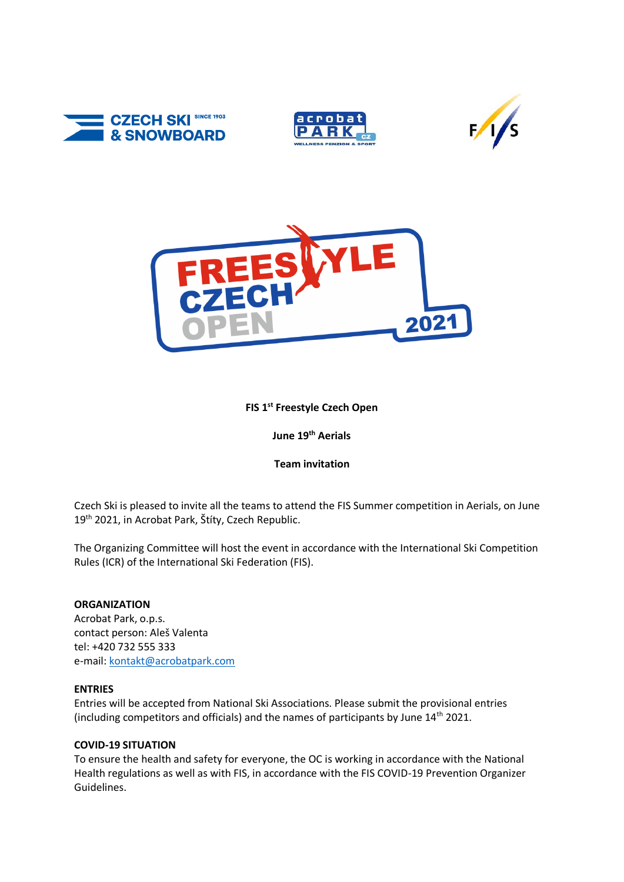







# **FIS 1st Freestyle Czech Open**

**June 19th Aerials**

## **Team invitation**

Czech Ski is pleased to invite all the teams to attend the FIS Summer competition in Aerials, on June 19<sup>th</sup> 2021, in Acrobat Park, Štíty, Czech Republic.

The Organizing Committee will host the event in accordance with the International Ski Competition Rules (ICR) of the International Ski Federation (FIS).

### **ORGANIZATION**

Acrobat Park, o.p.s. contact person: Aleš Valenta tel: +420 732 555 333 e-mail: [kontakt@acrobatpark.com](mailto:kontakt@acrobatpark.com)

### **ENTRIES**

Entries will be accepted from National Ski Associations. Please submit the provisional entries (including competitors and officials) and the names of participants by June  $14<sup>th</sup>$  2021.

### **COVID-19 SITUATION**

To ensure the health and safety for everyone, the OC is working in accordance with the National Health regulations as well as with FIS, in accordance with the FIS COVID-19 Prevention Organizer Guidelines.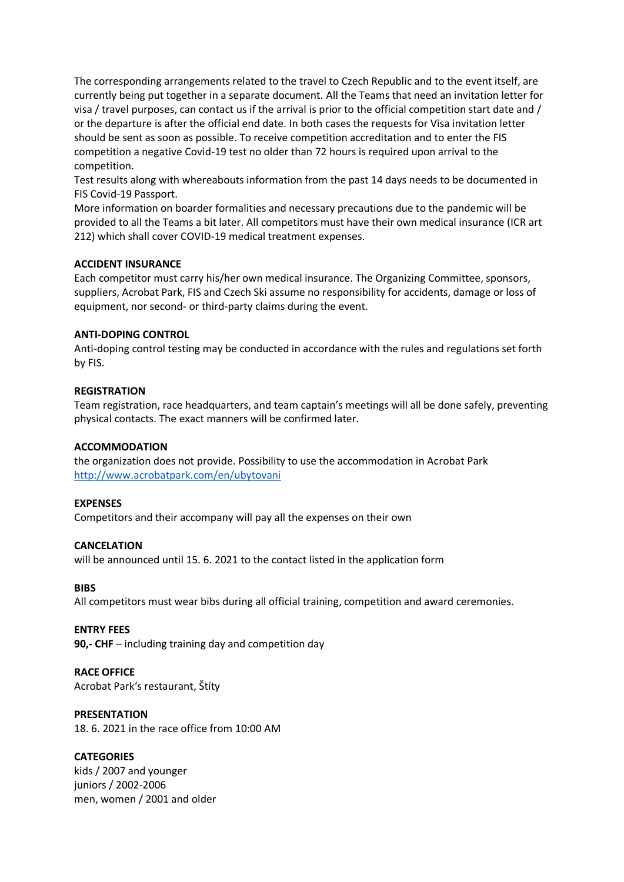The corresponding arrangements related to the travel to Czech Republic and to the event itself, are currently being put together in a separate document. All the Teams that need an invitation letter for visa / travel purposes, can contact us if the arrival is prior to the official competition start date and / or the departure is after the official end date. In both cases the requests for Visa invitation letter should be sent as soon as possible. To receive competition accreditation and to enter the FIS competition a negative Covid-19 test no older than 72 hours is required upon arrival to the competition.

Test results along with whereabouts information from the past 14 days needs to be documented in FIS Covid-19 Passport.

More information on boarder formalities and necessary precautions due to the pandemic will be provided to all the Teams a bit later. All competitors must have their own medical insurance (ICR art 212) which shall cover COVID-19 medical treatment expenses.

#### **ACCIDENT INSURANCE**

Each competitor must carry his/her own medical insurance. The Organizing Committee, sponsors, suppliers, Acrobat Park, FIS and Czech Ski assume no responsibility for accidents, damage or loss of equipment, nor second- or third-party claims during the event.

#### **ANTI-DOPING CONTROL**

Anti-doping control testing may be conducted in accordance with the rules and regulations set forth by FIS.

#### **REGISTRATION**

Team registration, race headquarters, and team captain's meetings will all be done safely, preventing physical contacts. The exact manners will be confirmed later.

### **ACCOMMODATION**

the organization does not provide. Possibility to use the accommodation in Acrobat Park <http://www.acrobatpark.com/en/ubytovani>

#### **EXPENSES**

Competitors and their accompany will pay all the expenses on their own

#### **CANCELATION**

will be announced until 15. 6. 2021 to the contact listed in the application form

#### **BIBS**

All competitors must wear bibs during all official training, competition and award ceremonies.

#### **ENTRY FEES**

**90,- CHF** – including training day and competition day

### **RACE OFFICE**

Acrobat Park's restaurant, Štíty

### **PRESENTATION**

18. 6. 2021 in the race office from 10:00 AM

### **CATEGORIES**

kids / 2007 and younger juniors / 2002-2006 men, women / 2001 and older